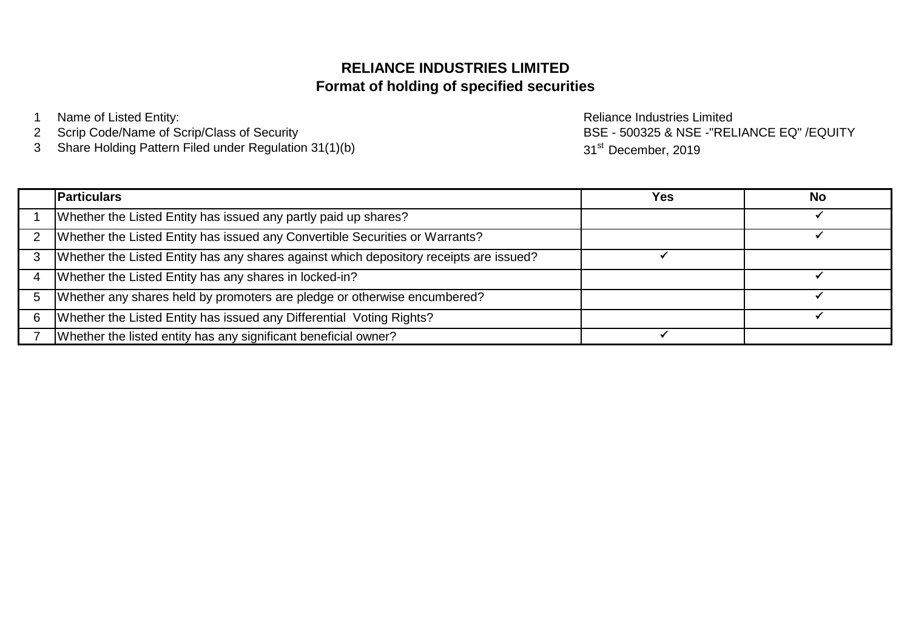# **Format of holding of specified securities RELIANCE INDUSTRIES LIMITED**

- 1 Name of Listed Entity: and the contract of the Reliance Industries Limited
- 2 Scrip Code/Name of Scrip/Class of Security
- 3 Share Holding Pattern Filed under Regulation 31(1)(b)

BSE - 500325 & NSE -"RELIANCE EQ" /EQUITY 31<sup>st</sup> December, 2019

|   | <b>Particulars</b>                                                                     | Yes | No |
|---|----------------------------------------------------------------------------------------|-----|----|
|   | Whether the Listed Entity has issued any partly paid up shares?                        |     |    |
|   | Whether the Listed Entity has issued any Convertible Securities or Warrants?           |     |    |
|   | Whether the Listed Entity has any shares against which depository receipts are issued? |     |    |
|   | Whether the Listed Entity has any shares in locked-in?                                 |     |    |
|   | Whether any shares held by promoters are pledge or otherwise encumbered?               |     |    |
| 6 | Whether the Listed Entity has issued any Differential Voting Rights?                   |     |    |
|   | Whether the listed entity has any significant beneficial owner?                        |     |    |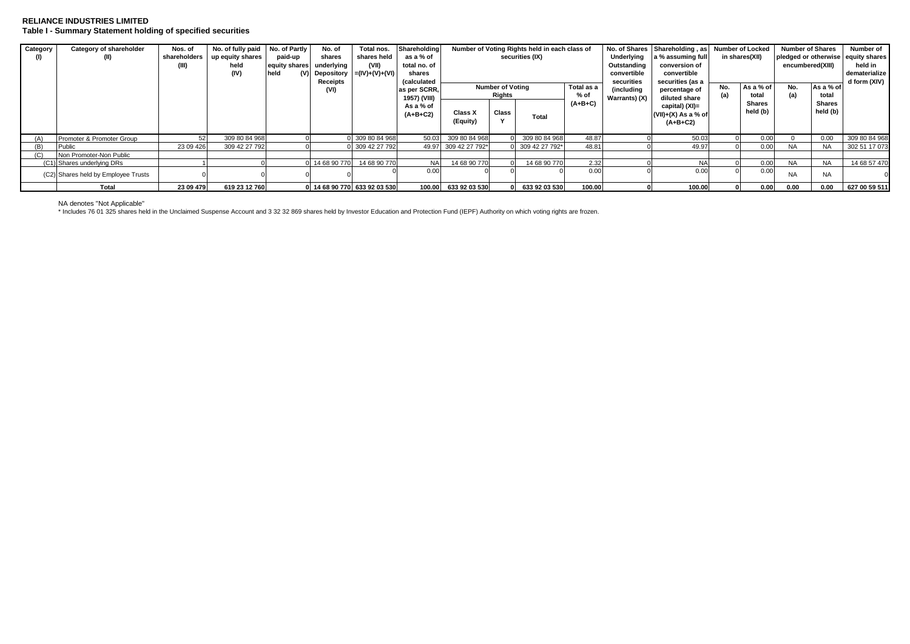### **RELIANCE INDUSTRIES LIMITED Table I - Summary Statement holding of specified securities**

| Category | Category of shareholder             | Nos. of      | No. of fully paid | No. of Partly | No. of         | Total nos.                       | Shareholding       |                      |                         | Number of Voting Rights held in each class of |            |               | No. of Shares   Shareholding, as   Number of Locked |     |                | <b>Number of Shares</b> |           | Number of                          |
|----------|-------------------------------------|--------------|-------------------|---------------|----------------|----------------------------------|--------------------|----------------------|-------------------------|-----------------------------------------------|------------|---------------|-----------------------------------------------------|-----|----------------|-------------------------|-----------|------------------------------------|
|          |                                     | shareholders | up equity shares  | paid-up       | shares         | shares held                      | as a % of          |                      |                         | securities (IX)                               |            | Underlying    | a % assuming full                                   |     | in shares(XII) |                         |           | pledged or otherwise equity shares |
|          |                                     |              | held              | equity shares | underlying     | (VII)                            | total no. of       |                      |                         |                                               |            | Outstanding   | conversion of                                       |     |                | encumbered(XIII)        |           | held in                            |
|          |                                     |              | (IV)              | held          |                | (V) Depository $= (IV)+(V)+(VI)$ | shares             |                      |                         |                                               |            | convertible   | convertible                                         |     |                |                         |           | dematerialize                      |
|          |                                     |              |                   |               | Receipts       |                                  | <i>(calculated</i> |                      |                         |                                               |            | securities    | securities (as a                                    |     |                |                         |           | d form (XIV)                       |
|          |                                     |              |                   |               | (VI)           |                                  | as per SCRR,       |                      | <b>Number of Voting</b> |                                               | Total as a | (including    | percentage of                                       | No. | As a % of      | No.                     | As a % of |                                    |
|          |                                     |              |                   |               |                |                                  | 1957) (VIII)       |                      | Rights                  |                                               | % of       | Warrants) (X) | diluted share                                       |     | total          | (a)                     | total     |                                    |
|          |                                     |              |                   |               |                |                                  | As a % of          |                      |                         |                                               | $(A+B+C)$  |               | capital) (XI)=                                      |     | Shares         |                         | Shares    |                                    |
|          |                                     |              |                   |               |                |                                  | $(A+B+C2)$         | Class X              | Class                   | Total                                         |            |               | $(VII)+(X)$ As a % of                               |     | held (b)       |                         | held (b)  |                                    |
|          |                                     |              |                   |               |                |                                  |                    | (Equity)             |                         |                                               |            |               | $(A+B+C2)$                                          |     |                |                         |           |                                    |
|          |                                     |              |                   |               |                |                                  |                    |                      |                         |                                               |            |               |                                                     |     |                |                         |           |                                    |
| (A)      | Promoter & Promoter Group           | 52           | 309 80 84 968     |               |                | 0 309 80 84 968                  |                    | 50.03 309 80 84 968  |                         | 309 80 84 968                                 | 48.87      |               | 50.03                                               |     | 0.00           |                         | 0.00      | 309 80 84 968                      |
| (B)      | Public                              | 23 09 426    | 309 42 27 792     |               |                | 0 309 42 27 792                  |                    | 49.97 309 42 27 792* |                         | 309 42 27 792*                                | 48.81      |               | 49.97                                               |     | 0.00           | <b>NA</b>               | <b>NA</b> | 302 51 17 073                      |
|          | Non Promoter-Non Public             |              |                   |               |                |                                  |                    |                      |                         |                                               |            |               |                                                     |     |                |                         |           |                                    |
|          | (C1) Shares underlying DRs          |              |                   |               | 0 14 68 90 770 | 14 68 90 770                     | <b>NA</b>          | 14 68 90 770         |                         | 14 68 90 770                                  | 2.32       |               | <b>NA</b>                                           |     | 0.00           | <b>NA</b>               | NA.       | 14 68 57 470                       |
|          | (C2) Shares held by Employee Trusts |              |                   |               |                |                                  | 0.00               |                      |                         |                                               | 0.00       |               | 0.00                                                |     | 0.00           | <b>NA</b>               | <b>NA</b> |                                    |
|          |                                     |              |                   |               |                |                                  |                    |                      |                         |                                               |            |               |                                                     |     |                |                         |           |                                    |
|          | Total                               | 23 09 479    | 619 23 12 760     |               |                | 0 14 68 90 770 633 92 03 530     | 100.00             | 633 92 03 530        |                         | 633 92 03 530                                 | 100.00     |               | 100.00                                              |     | 0.00           | 0.00                    | 0.00      | 627 00 59 511                      |

NA denotes "Not Applicable"

\* Includes 76 01 325 shares held in the Unclaimed Suspense Account and 3 32 32 869 shares held by Investor Education and Protection Fund (IEPF) Authority on which voting rights are frozen.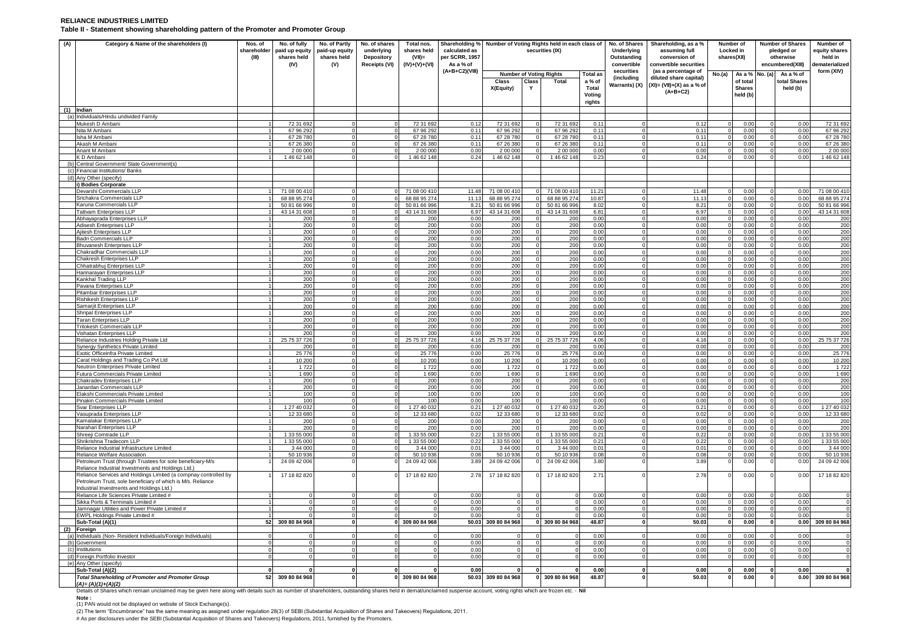#### **RELIANCE INDUSTRIES LIMITED Table II - Statement showing shareholding pattern of the Promoter and Promoter Group**

| (A)        | Category & Name of the shareholders (I)                                                                                                                                     | Nos. of<br>shareholder<br>(III) | No. of fully<br>paid up equity<br>shares held<br>(IV) | No. of Partly<br>paid-up equity<br>shares held<br>(V) | No. of shares<br>underlying<br><b>Depository</b><br><b>Receipts (VI)</b> | Total nos.<br>shares held<br>(VII)=<br>$(IV)+(V)+(VI)$ | Shareholding % Number of Voting Rights held in each class of<br>calculated as<br>per SCRR, 1957<br>As a % of |                      |            | securities (IX)                |                 | No. of Shares<br>Underlying<br>Outstanding<br>convertible<br>securities | Shareholding, as a %<br>assuming full<br>conversion of<br>convertible securities |        | Number of<br>Locked in<br>shares(XII) |          | <b>Number of Shares</b><br>pledged or<br>otherwise<br>encumbered(XIII) | Number of<br>equity shares<br>held in<br>lematerialized |
|------------|-----------------------------------------------------------------------------------------------------------------------------------------------------------------------------|---------------------------------|-------------------------------------------------------|-------------------------------------------------------|--------------------------------------------------------------------------|--------------------------------------------------------|--------------------------------------------------------------------------------------------------------------|----------------------|------------|--------------------------------|-----------------|-------------------------------------------------------------------------|----------------------------------------------------------------------------------|--------|---------------------------------------|----------|------------------------------------------------------------------------|---------------------------------------------------------|
|            |                                                                                                                                                                             |                                 |                                                       |                                                       |                                                                          |                                                        | (A+B+C2)(VIII)                                                                                               |                      |            | <b>Number of Voting Rights</b> | <b>Total as</b> | (including                                                              | (as a percentage of<br>diluted share capital)                                    | No.(a) | As a % No. (a)                        |          | As a % of                                                              | form (XIV)                                              |
|            |                                                                                                                                                                             |                                 |                                                       |                                                       |                                                                          |                                                        |                                                                                                              | Class<br>X(Equity)   | Class<br>Y | Total                          | a % of<br>Total | Warrants) (X)                                                           | $(XI) = (VII)+(X)$ as a % of                                                     |        | of tota<br><b>Shares</b>              |          | total Shares<br>held (b)                                               |                                                         |
|            |                                                                                                                                                                             |                                 |                                                       |                                                       |                                                                          |                                                        |                                                                                                              |                      |            |                                | Voting          |                                                                         | $(A+B+C2)$                                                                       |        | held (b)                              |          |                                                                        |                                                         |
|            |                                                                                                                                                                             |                                 |                                                       |                                                       |                                                                          |                                                        |                                                                                                              |                      |            |                                | rights          |                                                                         |                                                                                  |        |                                       |          |                                                                        |                                                         |
|            | $(1)$ Indian<br>(a) Individuals/Hindu undivided Family                                                                                                                      |                                 |                                                       |                                                       |                                                                          |                                                        |                                                                                                              |                      |            |                                |                 |                                                                         |                                                                                  |        |                                       |          |                                                                        |                                                         |
|            | Mukesh D Ambani                                                                                                                                                             |                                 | 72 31 692                                             |                                                       |                                                                          | 72 31 692                                              | 0.12                                                                                                         | 72 31 692            |            | 72 31 692                      | 0.11            |                                                                         | 0.12                                                                             |        | 0.00                                  |          | 0.00                                                                   | 72 31 692                                               |
|            | Nita M Amhani                                                                                                                                                               |                                 | 67 96 292                                             |                                                       |                                                                          | 67 96 292                                              | 0.11                                                                                                         | 67 96 292            |            | 67 96 292                      | 0.11            |                                                                         | 0.11                                                                             |        | 0.00                                  |          | 0.00                                                                   | 67 96 292                                               |
|            | sha M Ambani                                                                                                                                                                |                                 | 67 28 780                                             |                                                       |                                                                          | 67 28 780                                              | 0.11                                                                                                         | 67 28 780            |            | 67 28 780                      | 0.11            |                                                                         | 0.11                                                                             |        | 0.00                                  |          | 0.00                                                                   | 67 28 780                                               |
|            | Akash M Ambani                                                                                                                                                              |                                 | 67 26 380<br>2 00 000                                 |                                                       |                                                                          | 67 26 380<br>2 00 00                                   | 0.11<br>0.00                                                                                                 | 67 26 380<br>2 00 00 |            | 67 26 380<br>2 00 000          | 0.11<br>0.00    |                                                                         | 0.11<br>0.0(                                                                     |        | 0.00<br>0.00                          |          | 0.00<br>0.00                                                           | 67 26 380<br>2 00 00                                    |
|            | Anant M Ambani<br>K D Ambani                                                                                                                                                |                                 | 146 62 148                                            |                                                       |                                                                          | 146 62 148                                             | 0.24                                                                                                         | 1 46 62 148          |            | 1 46 62 148                    | 0.23            |                                                                         | 0.24                                                                             |        | 0.00                                  |          | 0.00                                                                   | 1 46 62 148                                             |
| (b)        | Central Government/ State Government(s)                                                                                                                                     |                                 |                                                       |                                                       |                                                                          |                                                        |                                                                                                              |                      |            |                                |                 |                                                                         |                                                                                  |        |                                       |          |                                                                        |                                                         |
| $\epsilon$ | Financial Institutions/ Banks                                                                                                                                               |                                 |                                                       |                                                       |                                                                          |                                                        |                                                                                                              |                      |            |                                |                 |                                                                         |                                                                                  |        |                                       |          |                                                                        |                                                         |
| (d)        | Any Other (specify)                                                                                                                                                         |                                 |                                                       |                                                       |                                                                          |                                                        |                                                                                                              |                      |            |                                |                 |                                                                         |                                                                                  |        |                                       |          |                                                                        |                                                         |
|            | ) Bodies Corporate<br>Devarshi Commercials LLP                                                                                                                              |                                 | 71 08 00 410                                          |                                                       |                                                                          | 71 08 00 410                                           | 11.48                                                                                                        | 71 08 00 410         |            | 71 08 00 410                   | 11.21           |                                                                         | 11.48                                                                            |        | 0 <sub>0</sub>                        |          | 0.00                                                                   | 71 08 00 410                                            |
|            | Srichakra Commercials LLP                                                                                                                                                   |                                 | 68 88 95 274                                          |                                                       |                                                                          | 68 88 95 274                                           | 11 13                                                                                                        | 68 88 95 274         |            | 68 88 95 274                   | 10.87           |                                                                         | 11.1                                                                             |        | 0.00                                  |          | 0.00                                                                   | 68 88 95 274                                            |
|            | Karuna Commercials LLP                                                                                                                                                      |                                 | 50 81 66 996                                          |                                                       |                                                                          | 50 81 66 996                                           | 8.21                                                                                                         | 50 81 66 996         |            | 50 81 66 996                   | 8.02            |                                                                         | 8.21                                                                             |        | 0.00                                  |          | 0.00                                                                   | 50 81 66 996                                            |
|            | <b>Tattvam Enterprises LLP</b><br>Abhavaprada Enterprises LLP                                                                                                               |                                 | 43 14 31 608                                          | $\Omega$                                              |                                                                          | 43 14 31 608                                           | 6.97<br>0.00                                                                                                 | 43 14 31 608         |            | 43 14 31 608                   | 6.81<br>0.00    |                                                                         | 6.97<br>0.00                                                                     |        | 0.00<br>0.00                          |          | 0.00<br>0.00                                                           | 43 14 31 608                                            |
|            | Adisesh Enterprises LLP                                                                                                                                                     |                                 | <b>200</b><br>200                                     |                                                       |                                                                          | 200                                                    | 0.00                                                                                                         | 200<br>200           |            | 200<br>200                     | 0.00            |                                                                         | 0.00                                                                             |        | 0.00                                  |          | 0.00                                                                   | 200<br>200                                              |
|            | Ajitesh Enterprises LLP                                                                                                                                                     |                                 | 200                                                   |                                                       |                                                                          | 200<br>200                                             | 0.00                                                                                                         | 200                  |            | 200                            | 0.00            |                                                                         | 0.0(                                                                             |        | 0.00                                  |          | 0.00                                                                   | 200                                                     |
|            | Badri Commercials LLP                                                                                                                                                       |                                 | 200                                                   |                                                       |                                                                          | 200                                                    | 0.00                                                                                                         | 200                  |            | 200                            | 0.00            |                                                                         | 0.00                                                                             |        | 0.00                                  |          | 0.00                                                                   | 200                                                     |
|            | <b>Bhuvanesh Enterprises LLP</b>                                                                                                                                            |                                 | 200                                                   | $\Omega$                                              |                                                                          | 200                                                    | 0.00                                                                                                         | 200                  |            | 200                            | 0.00<br>0.00    |                                                                         | 0.00                                                                             |        | 0.00                                  |          | 0.00                                                                   | 200                                                     |
|            | Chakradhar Commercials LLP<br>Chakresh Enterprises LLP                                                                                                                      |                                 | 200<br>200                                            |                                                       |                                                                          | 200<br>200                                             | 0.00<br>0.00                                                                                                 | 200<br>200           |            | 200<br>200                     | 0.00            |                                                                         | 0.0(<br>0.00                                                                     |        | 0.00<br>0.00                          |          | 0.00<br>0.00                                                           | 200<br>200                                              |
|            | Chhatrabhuj Enterprises LLF                                                                                                                                                 |                                 | 200                                                   |                                                       |                                                                          | 200                                                    | 0.00                                                                                                         | 200                  |            | 200                            | 0.00            |                                                                         | 0.00                                                                             |        | 0.00                                  |          | 0.00                                                                   |                                                         |
|            | Harinarayan Enterprises LLP                                                                                                                                                 |                                 | 200                                                   | $\Omega$                                              |                                                                          | 200                                                    | 0.00                                                                                                         | 200                  |            | 200                            | 0.00            |                                                                         | 0.0(                                                                             |        | 0.0(                                  |          | 0.00                                                                   | $\frac{200}{200}$                                       |
|            | Kankhal Trading LLP                                                                                                                                                         |                                 | 200                                                   |                                                       |                                                                          | 200                                                    | 0.00                                                                                                         | 200                  |            | 200                            | 0.00            |                                                                         | 0.00                                                                             |        | 0.00                                  |          | 0.00                                                                   | 200                                                     |
|            | Pavana Enterprises LLP                                                                                                                                                      |                                 | 200                                                   | $\Omega$                                              |                                                                          | 200                                                    | 0.00<br>0.00                                                                                                 | 200                  |            | 200<br>200                     | 0.00<br>0.00    |                                                                         | 0.00                                                                             |        | 0.00<br>0.00                          |          | 0.00<br>0.00                                                           | 200<br>200                                              |
|            | Pitambar Enterprises LLP<br>Rishikesh Enterprises LLP                                                                                                                       |                                 | 200<br>200                                            |                                                       |                                                                          | 200<br>200                                             | 0.00                                                                                                         | 200<br>200           |            | 200                            | 0.00            |                                                                         | 0.00<br>0.00                                                                     |        | 0.00                                  |          | 0.00                                                                   | 200                                                     |
|            | Samarjit Enterprises LLP                                                                                                                                                    |                                 | 200                                                   |                                                       |                                                                          |                                                        | 0.00                                                                                                         | 200                  |            | 200                            | 0.00            |                                                                         | 0.0(                                                                             |        | 0.00                                  |          | 0.00                                                                   |                                                         |
|            | Shripal Enterprises LLP                                                                                                                                                     |                                 | 200                                                   |                                                       |                                                                          | $\frac{200}{200}$                                      | 0.00                                                                                                         | 200                  |            | 200                            | 0.00            |                                                                         | 0.0(                                                                             |        | 0.00                                  |          | 0.00                                                                   | $\frac{200}{200}$                                       |
|            | <b>Taran Enterprises LLP</b>                                                                                                                                                |                                 | 200<br>200                                            | $\Omega$                                              |                                                                          | 200<br>200                                             | 0.00<br>0.00                                                                                                 | 200<br>200           |            | 200<br>200                     | 0.00<br>0.00    |                                                                         | 0.00<br>0.00                                                                     |        | 0.00<br>0.00                          |          | 0.00<br>0.00                                                           | 200<br>200                                              |
|            | Trilokesh Commercials LLP<br>Vishatan Enterprises LLP                                                                                                                       |                                 | 200                                                   |                                                       |                                                                          | 200                                                    | 0.00                                                                                                         | 200                  |            | 200                            | 0.00            |                                                                         | 0.00                                                                             |        | 0.00                                  |          | 0.00                                                                   | 200                                                     |
|            | Reliance Industries Holding Private Ltd                                                                                                                                     |                                 | 25 75 37 726                                          |                                                       |                                                                          | 25 75 37 726                                           | 4.16                                                                                                         | 25 75 37 726         |            | 25 75 37 726                   | 4.06            |                                                                         | 4.16                                                                             |        | 0.00                                  |          | 0.00                                                                   | 25 75 37 726                                            |
|            | Synergy Synthetics Private Limited                                                                                                                                          |                                 | 200                                                   |                                                       |                                                                          | 200                                                    | 0.00                                                                                                         | 200                  |            | 20                             | 0.00            |                                                                         | 0.00                                                                             |        | 0.00                                  |          | 0.00                                                                   | 200                                                     |
|            | Exotic Officeinfra Private Limited<br>Carat Holdings and Trading Co Pvt Ltd                                                                                                 |                                 | 25 776<br>10 200                                      | $\Omega$                                              |                                                                          | 25 776<br>10 200                                       | 0.00<br>0.00                                                                                                 | 25776<br>10 200      |            | 25 776<br>10 200               | 0.00<br>0.00    |                                                                         | 0.0(<br>0.00                                                                     |        | 0.00<br>0.00                          |          | 0.00<br>0.00                                                           | 25 776<br>10 200                                        |
|            | <b>Neutron Enterprises Private Limited</b>                                                                                                                                  |                                 | 1722                                                  | $\Omega$                                              |                                                                          | 1722                                                   | 0.00                                                                                                         | 1722                 |            | 1722                           | 0.00            |                                                                         | 0.00                                                                             |        | 0.00                                  |          | 0.00                                                                   | 1722                                                    |
|            | Futura Commercials Private Limited                                                                                                                                          |                                 | 1690                                                  | $\Omega$                                              |                                                                          | 1 6 9 0                                                | 0.00                                                                                                         | 1690                 |            | 1 6 9 0                        | 0.00            |                                                                         | 0.00                                                                             |        | 0.00                                  |          | 0.00                                                                   | 1 6 9 0                                                 |
|            | Chakradev Enterprises LLP                                                                                                                                                   |                                 | 200                                                   |                                                       |                                                                          | 200                                                    | 0.00                                                                                                         | 200                  |            | 200                            | 0.00            |                                                                         | 0.00                                                                             |        | 0.00                                  |          | 0.00                                                                   | 200                                                     |
|            | Janardan Commercials LLP                                                                                                                                                    |                                 | 200                                                   | $\Omega$                                              |                                                                          | 200                                                    | 0.00                                                                                                         | 200                  |            | 200                            | 0.00            |                                                                         | 0.00                                                                             |        | 0.00                                  |          | 0.00                                                                   | 200<br>100                                              |
|            | Elakshi Commercials Private Limited<br>Pinakin Commercials Private Limited                                                                                                  |                                 | 100<br>100                                            |                                                       |                                                                          | 100<br>100                                             | 0.00<br>0.00                                                                                                 | 100<br>100           |            | 100<br>100                     | 0.00<br>0.00    |                                                                         | 0.0(<br>0.00                                                                     |        | 0.00<br>0.00                          |          | 0.00<br>0.00                                                           | 100                                                     |
|            | Svar Enterprises LLP                                                                                                                                                        |                                 | 1 27 40 032                                           | $\Omega$                                              |                                                                          | 1 27 40 032                                            | 0.21                                                                                                         | 1 27 40 032          |            | 1 27 40 032                    | 0.20            |                                                                         | 0.21                                                                             |        | 0.00                                  |          | 0.00                                                                   | 1 27 40 032                                             |
|            | Vasuprada Enterprises LLP                                                                                                                                                   |                                 | 12 33 680                                             |                                                       |                                                                          | 12 33 680                                              | 0.02                                                                                                         | 12 33 680            |            | 12 33 680                      | 0.02            |                                                                         | 0.02                                                                             |        | 0.00                                  |          | 0.00                                                                   | 12 33 680                                               |
|            | Kamalakar Enterprises LLP                                                                                                                                                   |                                 | 200                                                   |                                                       |                                                                          | 200                                                    | 0.00                                                                                                         | 200                  |            | 201                            | 0.00            |                                                                         | 0.00                                                                             |        | 0.00                                  |          | 0.00                                                                   | 200                                                     |
|            | <b>Narahari Enterprises LLP</b><br>Shreeji Comtrade LLP                                                                                                                     |                                 | 200<br>1 33 55 000                                    | $\Omega$                                              |                                                                          | 200<br>1 33 55 000                                     | 0.00<br>0.22                                                                                                 | 200<br>1 33 55 000   |            | 200<br>1 33 55 000             | 0.00<br>0.21    |                                                                         | 0.0(<br>0.22                                                                     |        | 0.00<br>0.00                          |          | 0.00<br>0.00                                                           | 200<br>1 33 55 000                                      |
|            | Shrikrishna Tradecom LLP                                                                                                                                                    |                                 | 1 33 55 000                                           |                                                       |                                                                          | 1 33 55 000                                            | 0.22                                                                                                         | 1 33 55 000          |            | 1 33 55 000                    | 0.21            |                                                                         | 0.22                                                                             |        | 0.00                                  |          | 0.00                                                                   | 1 33 55 000                                             |
|            | Reliance Industrial Infrastructure Limited                                                                                                                                  |                                 | 3 44 000                                              |                                                       |                                                                          | 3 44 000                                               | 0.01                                                                                                         | 3 44 000             |            | 3 44 000                       | 0.01            |                                                                         | 0.01                                                                             |        | 0.00                                  |          | 0.00                                                                   | 3 44 000                                                |
|            | Reliance Welfare Association                                                                                                                                                |                                 | 50 10 936                                             |                                                       |                                                                          | 50 10 936                                              | 0.08                                                                                                         | 50 10 936            |            | 50 10 93                       | 0.08            |                                                                         | 0.08                                                                             |        | 0.00                                  |          | 0.00                                                                   | 50 10 93                                                |
|            | Petroleum Trust (through Trustees for sole beneficiary-M/s<br>Reliance Industrial Investments and Holdings Ltd.)                                                            |                                 | 24 09 42 006                                          |                                                       |                                                                          | 24 09 42 006                                           | 3.89                                                                                                         | 24 09 42 006         |            | 24 09 42 006                   | 3.80            |                                                                         | 3.89                                                                             |        | 0.00                                  |          | 0.00                                                                   | 24 09 42 006                                            |
|            | Reliance Services and Holdings Limited (a compnay controlled by<br>Petroleum Trust, sole beneficiary of which is M/s. Reliance<br>Industrial Investments and Holdings Ltd.) |                                 | 17 18 82 820                                          |                                                       |                                                                          | 17 18 82 820                                           | 2.78                                                                                                         | 17 18 82 820         |            | 17 18 82 820                   | 2.71            |                                                                         | 2.78                                                                             |        | 0.00                                  | $\Omega$ | 0.00                                                                   | 17 18 82 820                                            |
|            | Reliance Life Sciences Private Limited #                                                                                                                                    |                                 |                                                       |                                                       |                                                                          |                                                        | 0.00                                                                                                         |                      |            |                                | 0.00            |                                                                         | 0.00                                                                             |        | 0.00                                  |          | 0.00                                                                   |                                                         |
|            | Sikka Ports & Terminals Limited #                                                                                                                                           |                                 |                                                       |                                                       |                                                                          |                                                        | 0.00                                                                                                         |                      |            |                                | 0.00            |                                                                         | 0.00                                                                             |        | 0.00                                  |          | 0.00                                                                   |                                                         |
|            | Jamnagar Utilities and Power Private Limited #                                                                                                                              |                                 |                                                       |                                                       |                                                                          |                                                        | 0.00<br>0.00                                                                                                 |                      |            |                                | 0.00            |                                                                         | 0.0(                                                                             |        | 0.00                                  |          | 0.00                                                                   |                                                         |
|            | EWPL Holdings Private Limited #<br>Sub-Total (A)(1)                                                                                                                         | 52                              | 309 80 84 968                                         | $\Omega$                                              |                                                                          | 0 309 80 84 968                                        | 50.03                                                                                                        | 309 80 84 968        |            | 309 80 84 968                  | 0.00<br>48.87   |                                                                         | 0.0<br>50.03                                                                     |        | 0.0(<br>0.00                          |          | 0.00<br>0.00 <sub>1</sub>                                              | 309 80 84 968                                           |
| (2)        | <b>Foreian</b>                                                                                                                                                              |                                 |                                                       |                                                       |                                                                          |                                                        |                                                                                                              |                      |            |                                |                 |                                                                         |                                                                                  |        |                                       |          |                                                                        |                                                         |
| (a)        | Individuals (Non-Resident Individuals/Foreign Individuals)                                                                                                                  |                                 |                                                       |                                                       |                                                                          |                                                        | 0.00                                                                                                         |                      |            |                                | 0.00            |                                                                         | 0.00                                                                             |        | 0.00                                  |          | 0.00                                                                   |                                                         |
| (b)        | Government                                                                                                                                                                  |                                 |                                                       | $\Omega$                                              |                                                                          | $\Omega$                                               | 0.00                                                                                                         |                      |            |                                | 0.00            |                                                                         | 0.00                                                                             |        | 0.00                                  |          | 0.00                                                                   |                                                         |
| (c)<br>(d) | Institutions<br>Foreign Portfolio Investor                                                                                                                                  |                                 |                                                       |                                                       |                                                                          |                                                        | 0.00<br>0.00                                                                                                 |                      |            |                                | 0.00<br>0.00    |                                                                         | 0.00<br>0.00                                                                     |        | 0.00<br>0.00                          |          | 0.00<br>0.00                                                           |                                                         |
| (e)        | Any Other (specify                                                                                                                                                          |                                 |                                                       |                                                       |                                                                          |                                                        |                                                                                                              |                      |            |                                |                 |                                                                         |                                                                                  |        |                                       |          |                                                                        |                                                         |
|            | Sub-Total (A)(2)                                                                                                                                                            |                                 |                                                       |                                                       |                                                                          |                                                        | 0.00                                                                                                         |                      |            |                                | 0.00            |                                                                         | 0.00                                                                             |        | 0.00                                  |          | 0.00                                                                   |                                                         |
|            | Total Shareholding of Promoter and Promoter Group<br>$(A)=(A)(1)+(A)(2)$                                                                                                    | 52                              | 309 80 84 968                                         |                                                       |                                                                          | 309 80 84 968                                          | 50.03                                                                                                        | 309 80 84 968        |            | 309 80 84 968                  | 48.87           |                                                                         | 50.03                                                                            |        | 0.00                                  |          | 0.00                                                                   | 309 80 84 968                                           |

Details of Shares which remain unclaimed may be given here along with details such as number of shareholders, outstanding shares held in demat/unclaimed suspense account, voting rights which are frozen etc. - **Nil**

**Note :** 

(1) PAN would not be displayed on website of Stock Exchange(s).<br>(2) The term "Encumbrance" has the same meaning as assigned under regulation 28(3) of SEBI (Substantial Acquisition of Shares and Takeovers) Regulations, 2011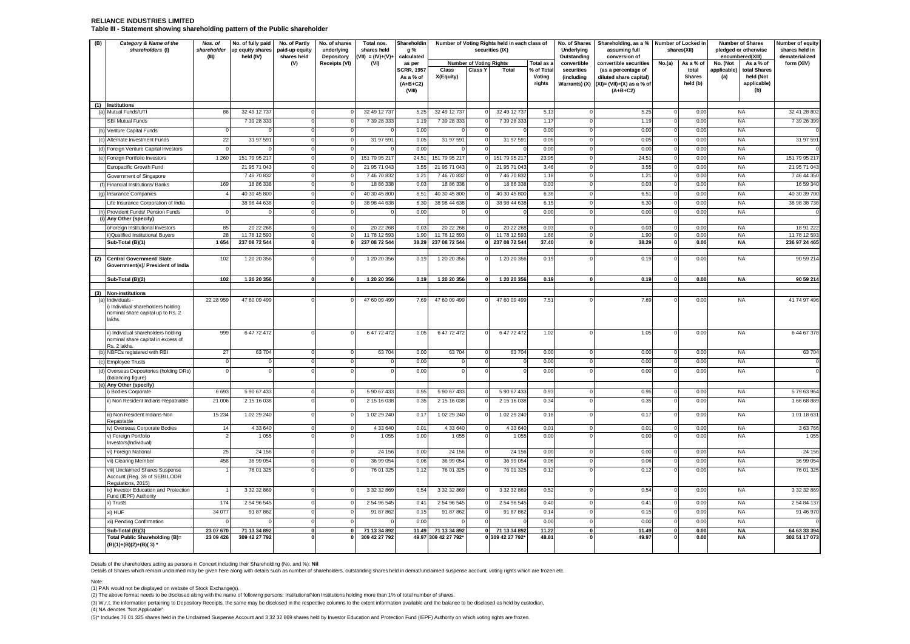#### **RELIANCE INDUSTRIES LIMITED Table III - Statement showing shareholding pattern of the Public shareholder**

| (B) | Category & Name of the<br>shareholders (I)                                                       | Nos. of<br>shareholder<br>(III) | No. of fully paid<br>up equity shares<br>held (IV) | No. of Partly<br>paid-up equity<br>shares held | No. of shares<br>underlying<br>Depository | Total nos.<br>shares held<br>$(VII) = (IV)+(V)+$ | Shareholdin<br>g %<br>calculated                       |                               |                                | Number of Voting Rights held in each class of<br>securities (IX) |                                | No. of Shares<br>Underlying<br>Outstanding | Shareholding, as a %<br>assuming full<br>conversion of                                      |          | Number of Locked in<br>shares(XII) | <b>Number of Shares</b><br>pledged or otherwise<br>encumbered(XIII)   | Number of equity<br>shares held in<br>dematerialized |
|-----|--------------------------------------------------------------------------------------------------|---------------------------------|----------------------------------------------------|------------------------------------------------|-------------------------------------------|--------------------------------------------------|--------------------------------------------------------|-------------------------------|--------------------------------|------------------------------------------------------------------|--------------------------------|--------------------------------------------|---------------------------------------------------------------------------------------------|----------|------------------------------------|-----------------------------------------------------------------------|------------------------------------------------------|
|     |                                                                                                  |                                 |                                                    | (V)                                            | Receipts (VI)                             | (VI)                                             | as per                                                 |                               | <b>Number of Voting Rights</b> |                                                                  | Total as a                     | convertible                                | convertible securities                                                                      | No.(a)   | As a % of                          | No. (Not<br>As a % of                                                 | form (XIV)                                           |
|     |                                                                                                  |                                 |                                                    |                                                |                                           |                                                  | <b>SCRR, 1957</b><br>As a % of<br>$(A+B+C2)$<br>(VIII) | Class<br>X(Equity)            | <b>Class Y</b>                 | Total                                                            | % of Total<br>Voting<br>rights | securities<br>(including<br>Warrants) (X)  | (as a percentage of<br>diluted share capital)<br>$(XI) = (VII)+(X)$ as a % of<br>$(A+B+C2)$ |          | total<br><b>Shares</b><br>held (b) | applicable)<br>total Shares<br>(a)<br>held (Not<br>applicable)<br>(b) |                                                      |
| (a) | (1) Institutions<br>Mutual Funds/UTI                                                             | <b>RF</b>                       | 32 49 12 73                                        |                                                |                                           | 32 49 12 737                                     | 5.25                                                   | 32 49 12 73                   |                                | 32 49 12 73                                                      | 5.13                           |                                            | 5.25                                                                                        |          | 0.00                               | <b>NA</b>                                                             | 32 41 28 802                                         |
|     | <b>SBI Mutual Funds</b>                                                                          |                                 | 7 39 28 333                                        |                                                | $\epsilon$                                | 7 39 28 333                                      | 1.19                                                   | 7 39 28 333                   |                                | 7 39 28 333                                                      | 1.17                           |                                            | 1.19                                                                                        |          | 0.00                               | <b>NA</b>                                                             | 7 39 26 399                                          |
| (b) | Venture Capital Funds                                                                            |                                 |                                                    |                                                |                                           |                                                  | 0.00                                                   |                               |                                |                                                                  | 0.00                           |                                            | 0.00                                                                                        |          | 0.00                               | <b>NA</b>                                                             |                                                      |
|     | Alternate Investment Funds                                                                       | 22                              | 31 97 59                                           |                                                |                                           | 31 97 591                                        | 0.05                                                   | 31 97 59                      |                                | 31 97 591                                                        | 0.05                           |                                            | 0.05                                                                                        |          | 0.00                               | <b>NA</b>                                                             | 31 97 59                                             |
|     | (d) Foreign Venture Capital Investors                                                            | $\Omega$                        |                                                    | ſ                                              | $^{\circ}$                                |                                                  | 0.00                                                   |                               |                                |                                                                  | 0.00                           |                                            | 0.00                                                                                        | $\Omega$ | 0.00                               | <b>NA</b>                                                             |                                                      |
|     | Foreign Portfolio Investors                                                                      | 1 2 6 0                         | 151 79 95 217                                      |                                                |                                           | 151 79 95 217                                    | 24.51                                                  | 151 79 95 217                 |                                | 151 79 95 217                                                    | 23.95                          |                                            | 24.5'                                                                                       |          | 0.00                               | <b>NA</b>                                                             | 151 79 95 21                                         |
|     | Europacific Growth Fund                                                                          |                                 | 21 95 71 043                                       |                                                |                                           | 21 95 71 043                                     | 3.55                                                   | 21 95 71 04                   |                                | 21 95 71 04                                                      | 3.46                           |                                            | 3.55                                                                                        |          | 0.00                               | <b>NA</b>                                                             | 21 95 71 04                                          |
|     | Government of Singapore                                                                          |                                 | 74670832                                           |                                                |                                           | 74670832                                         | 1.21                                                   | 74670832                      |                                | 74670832                                                         | 1.18                           |                                            | 1.21                                                                                        |          | 0.00                               | <b>NA</b>                                                             | 7 46 44 350                                          |
|     | Financial Institutions/ Banks                                                                    | 169                             | 18 86 338                                          |                                                |                                           | 18 86 338                                        | 0.03                                                   | 18 86 33                      |                                | 18 86 338                                                        | 0.03                           |                                            | 0.03                                                                                        |          | 0.00                               | <b>NA</b>                                                             | 16 59 34                                             |
| (g) | Insurance Companies                                                                              |                                 | 40 30 45 800                                       |                                                |                                           | 40 30 45 800                                     | 6.51                                                   | 40 30 45 80                   |                                | 40 30 45 800                                                     | 6.36                           |                                            | 6.51                                                                                        |          | 0.00                               | <b>NA</b>                                                             | 40 30 39 70                                          |
|     | Life Insurance Corporation of India                                                              |                                 | 38 98 44 638                                       |                                                |                                           | 38 98 44 638                                     | 6.3C                                                   | 38 98 44 638                  |                                | 38 98 44 638                                                     | 6.15                           |                                            | 6.30                                                                                        |          | 0.00                               | <b>NA</b>                                                             | 38 98 38 73                                          |
| (h) | Provident Funds/ Pension Funds                                                                   |                                 |                                                    |                                                |                                           |                                                  | 0.00                                                   |                               |                                |                                                                  | 0.00                           |                                            | 0.00                                                                                        |          | 0.00                               | <b>NA</b>                                                             |                                                      |
|     | Any Other (specify)                                                                              |                                 |                                                    |                                                |                                           |                                                  |                                                        |                               |                                |                                                                  |                                |                                            |                                                                                             |          |                                    |                                                                       |                                                      |
|     | i)Foreign Institutional Investors                                                                | 85                              | 20 22 268                                          | $\Omega$                                       | $\Omega$                                  | 20 22 268                                        | 0.03                                                   | 20 22 268                     | $\mathbf{O}$                   | 20 22 268                                                        | 0.03                           |                                            | 0.03                                                                                        | $\Omega$ | 0.00                               | <b>NA</b>                                                             | 18 91 222                                            |
|     | ii)Qualified Institutional Buyers<br>Sub-Total (B)(1)                                            | 28<br>1 6 5 4                   | 11 78 12 593<br>237 08 72 544                      |                                                |                                           | 11 78 12 593<br>237 08 72 544                    | 1.90<br>38.29                                          | 11 78 12 59:<br>237 08 72 544 | $\mathbf{0}$                   | 11 78 12 593<br>237 08 72 544                                    | 1.86<br>37.40                  |                                            | 1.90<br>38.29                                                                               |          | 0.00<br>0.00                       | <b>NA</b><br><b>NA</b>                                                | 11 78 12 593<br>236 97 24 465                        |
|     |                                                                                                  |                                 |                                                    |                                                |                                           |                                                  |                                                        |                               |                                |                                                                  |                                |                                            |                                                                                             |          |                                    |                                                                       |                                                      |
| (2) | Central Government/ State<br>Government(s)/ President of India                                   | 102                             | 1 20 20 356                                        |                                                |                                           | 1 20 20 356                                      | 0.19                                                   | 1 20 20 356                   |                                | 1 20 20 356                                                      | 0.19                           |                                            | 0.19                                                                                        |          | 0.00                               | <b>NA</b>                                                             | 90 59 214                                            |
|     | Sub-Total (B)(2)                                                                                 | 102                             | 1 20 20 356                                        | $\Omega$                                       | $\Omega$                                  | 1 20 20 356                                      | 0.19                                                   | 1 20 20 356                   | $\mathbf{0}$                   | 1 20 20 356                                                      | 0.19                           |                                            | 0.19                                                                                        |          | 0.00                               | <b>NA</b>                                                             | 90 59 214                                            |
|     | (3) Non-institutions                                                                             |                                 |                                                    |                                                |                                           |                                                  |                                                        |                               |                                |                                                                  |                                |                                            |                                                                                             |          |                                    |                                                                       |                                                      |
| (a  | Individuals -<br>) Individual shareholders holding<br>nominal share capital up to Rs. 2<br>akhs. | 22 28 959                       | 47 60 09 499                                       |                                                |                                           | 47 60 09 499                                     | 7.69                                                   | 47 60 09 499                  |                                | 47 60 09 499                                                     | 7.51                           |                                            | 7.69                                                                                        |          | 0.00                               | <b>NA</b>                                                             | 41 74 97 496                                         |
|     | ii) Individual shareholders holding<br>nominal share capital in excess of<br>Rs. 2 lakhs.        | 999                             | 6 47 72 472                                        |                                                |                                           | 6 47 72 472                                      | 1.05                                                   | 6 47 72 472                   |                                | 6 47 72 472                                                      | 1.02                           |                                            | 1.05                                                                                        |          | 0.00                               | <b>NA</b>                                                             | 6 44 67 378                                          |
| (b) | NBFCs registered with RBI                                                                        | 27                              | 63 704                                             |                                                |                                           | 63 704                                           | 0.00                                                   | 63 704                        |                                | 63704                                                            | 0.00                           |                                            | 0.00                                                                                        |          | 0.00                               | <b>NA</b>                                                             | 63 704                                               |
|     | <b>Employee Trusts</b>                                                                           |                                 |                                                    |                                                |                                           |                                                  | 0.00                                                   |                               |                                |                                                                  | 0.00                           |                                            | 0.00                                                                                        |          | 0.00                               | <b>NA</b>                                                             |                                                      |
| (d) | Overseas Depositories (holding DRs)<br>(balancing figure)                                        |                                 |                                                    |                                                |                                           |                                                  | 0.00                                                   |                               |                                |                                                                  | 0.00                           |                                            | 0.00                                                                                        |          | 0.00                               | <b>NA</b>                                                             |                                                      |
|     | (e) Any Other (specify)<br>Bodies Corporate                                                      | 6 6 9 3                         | 5 90 67 433                                        |                                                |                                           | 5 90 67 433                                      | 0.95                                                   | 59067433                      |                                | 5 90 67 433                                                      | 0.93                           |                                            | 0.95                                                                                        |          | 0.00                               | <b>NA</b>                                                             | 57963964                                             |
|     | i) Non Resident Indians-Repatriable                                                              | 21 006                          | 2 15 16 038                                        |                                                |                                           | 2 15 16 038                                      | 0.35                                                   | 2 15 16 038                   |                                | 2 15 16 038                                                      | 0.34                           |                                            | 0.35                                                                                        |          | 0.00                               | <b>NA</b>                                                             | 16668889                                             |
|     | iii) Non Resident Indians-Non<br>Repatriable                                                     | 15 2 34                         | 1 02 29 240                                        |                                                |                                           | 1 02 29 240                                      | 0.17                                                   | 1 02 29 240                   |                                | 1 02 29 240                                                      | 0.16                           |                                            | 0.17                                                                                        |          | 0.00                               | <b>NA</b>                                                             | 1011863                                              |
|     | iv) Overseas Corporate Bodies                                                                    | 14                              | 4 33 640                                           | $\Omega$                                       | $\Omega$                                  | 4 3 3 6 4 0                                      | 0.01                                                   | 4 3 3 6 4 0                   | 0                              | 4 3 3 6 4 0                                                      | 0.01                           |                                            | 0.01                                                                                        |          | 0.00                               | <b>NA</b>                                                             | 3 63 766                                             |
|     | v) Foreign Portfolio<br>Investors(Individual)                                                    |                                 | 1 0 5                                              |                                                |                                           | 1 0 5 5                                          | 0.00                                                   | 1 0 5 5                       |                                | 1 0 5                                                            | 0.00                           |                                            | 0.00                                                                                        |          | 0.00                               | <b>NA</b>                                                             | 1 0 5                                                |
|     | vi) Foreign National                                                                             | 25                              | 24 156                                             |                                                |                                           | 24 15                                            | 0.00                                                   | 24 15 6                       |                                | 24 15                                                            | 0.00                           |                                            | 0.00                                                                                        |          | 0.00                               | <b>NA</b>                                                             | 24 156                                               |
|     | vii) Clearing Member                                                                             | 458                             | 36 99 054                                          |                                                |                                           | 36 99 054                                        | 0.06                                                   | 36 99 054                     |                                | 36 99 054                                                        | 0.06                           |                                            | 0.06                                                                                        |          | 0.00                               | <b>NA</b>                                                             | 36 99 054                                            |
|     | viii) Unclaimed Shares Suspense<br>Account (Reg. 39 of SEBI LODR<br>Regulations, 2015)           |                                 | 76 01 325                                          |                                                |                                           | 76 01 325                                        | 0.12                                                   | 76 01 325                     |                                | 76 01 325                                                        | 0.12                           |                                            | 0.12                                                                                        |          | 0.00                               | <b>NA</b>                                                             | 76 01 325                                            |
|     | ix) Investor Education and Protection<br>Fund (IEPF) Authority                                   |                                 | 3 32 32 869                                        |                                                |                                           | 3 32 32 869                                      | 0.54                                                   | 3 32 32 869                   |                                | 3 32 32 869                                                      | 0.52                           |                                            | 0.54                                                                                        |          | 0.00                               | <b>NA</b>                                                             | 3 32 32 869                                          |
|     | x) Trusts                                                                                        | 174                             | 2 54 96 545                                        |                                                |                                           | 2 54 96 545                                      | 0.41                                                   | 2 54 96 545                   | $\Omega$                       | 2 54 96 545                                                      | 0.40                           |                                            | 0.41                                                                                        |          | 0.00                               | <b>NA</b>                                                             | 2 54 84 137                                          |
|     | xi) HUF                                                                                          | 34 07                           | 91 87 862                                          |                                                |                                           | 91 87 862                                        | 0.15                                                   | 91 87 862                     |                                | 91 87 862                                                        | 0.14                           |                                            | 0.15                                                                                        |          | 0.00                               | <b>NA</b>                                                             | 91 46 97                                             |
|     | xii) Pending Confirmation                                                                        |                                 |                                                    |                                                |                                           |                                                  | 0.00                                                   |                               |                                |                                                                  | 0.00                           |                                            | 0.00                                                                                        |          | 0.00                               | <b>NA</b>                                                             |                                                      |
|     | Sub-Total (B)(3)                                                                                 | 23 07 670                       | 71 13 34 892                                       | $\Omega$                                       | - 0                                       | 71 13 34 892                                     | 11.49                                                  | 71 13 34 892                  | $\mathbf{0}$                   | 71 13 34 892                                                     | 11.22                          |                                            | 11.49                                                                                       |          | 0.00                               | <b>NA</b>                                                             | 64 63 33 394                                         |
|     | Total Public Shareholding (B)=<br>(B)(1)+(B)(2)+(B)(3)'                                          | 23 09 4 26                      | 309 42 27 792                                      |                                                |                                           | 309 42 27 792                                    |                                                        | 49.97 309 42 27 792*          |                                | 0 309 42 27 792*                                                 | 48.81                          |                                            | 49.97                                                                                       |          | 0.00                               | <b>NA</b>                                                             | 302 51 17 073                                        |

Details of the shareholders acting as persons in Concert including their Shareholding (No. and %): Nil<br>Details of Shares which remain unclaimed may be given here along with details such as number of shareholders, outstandi

Note: (1) PAN would not be displayed on website of Stock Exchange(s).

(2) The above format needs to be disclosed along with the name of following persons: Institutions/Non Institutions holding more than 1% of total number of shares.

(3) W.r.t. the information pertaining to Depository Receipts, the same may be disclosed in the respective columns to the extent information available and the balance to be disclosed as held by custodian,<br>(4) NA denotes "No

(5)\* Includes 76 01 325 shares held in the Unclaimed Suspense Account and 3 32 32 869 shares held by Investor Education and Protection Fund (IEPF) Authority on which voting rights are frozen.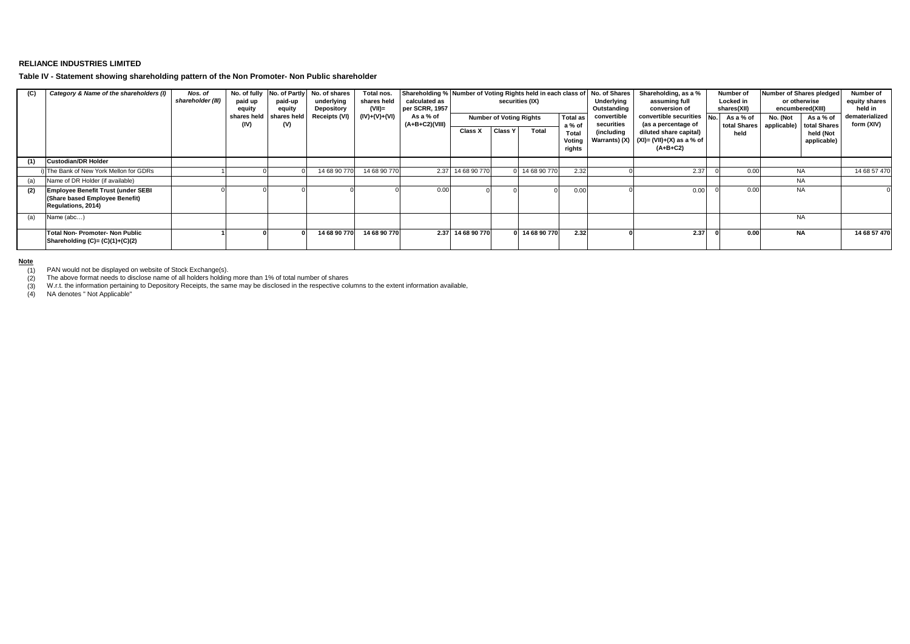### **RELIANCE INDUSTRIES LIMITED**

**Table IV - Statement showing shareholding pattern of the Non Promoter- Non Public shareholder**

| (C) | Category & Name of the shareholders (I)                                                           | Nos. of<br>shareholder (III) | paid up<br>equity   | No. of fully No. of Partly<br>paid-up<br>equity | No. of shares<br>underlying<br>Depository | Total nos.<br>shares held<br>(VII)= | Shareholding % Number of Voting Rights held in each class of<br>calculated as<br>per SCRR, 1957 |                   |                                | securities (IX) |                           | No. of Shares<br>Underlying<br>Outstanding | Shareholding, as a %<br>assuming full<br>conversion of                                | Number of<br>Locked in<br>shares(XII) | Number of Shares pledged<br>or otherwise<br>encumbered(XIII) |                           | Number of<br>equity shares<br>held in |
|-----|---------------------------------------------------------------------------------------------------|------------------------------|---------------------|-------------------------------------------------|-------------------------------------------|-------------------------------------|-------------------------------------------------------------------------------------------------|-------------------|--------------------------------|-----------------|---------------------------|--------------------------------------------|---------------------------------------------------------------------------------------|---------------------------------------|--------------------------------------------------------------|---------------------------|---------------------------------------|
|     |                                                                                                   |                              | shares held<br>(IV) | shares held<br>(V)                              | Receipts (VI)                             | $(IV)+(V)+(V)$                      | As a % of<br>(A+B+C2)(VIII)                                                                     |                   | <b>Number of Voting Rights</b> |                 | <b>Total as</b><br>a % of | convertible<br>securities                  | convertible securities No.<br>(as a percentage of                                     | As a % of<br>total Shares             | No. (Not<br>applicable)                                      | As a % of<br>total Shares | dematerialized<br>form (XIV)          |
|     |                                                                                                   |                              |                     |                                                 |                                           |                                     |                                                                                                 | Class X           | <b>Class Y</b>                 | Total           | Total<br>Votino<br>rights | (including                                 | diluted share capital)<br>Warrants) (X) $(x)$ (XI)= (VII)+(X) as a % of<br>$(A+B+C2)$ | held                                  |                                                              | held (Not<br>applicable)  |                                       |
| (1) | <b>Custodian/DR Holder</b>                                                                        |                              |                     |                                                 |                                           |                                     |                                                                                                 |                   |                                |                 |                           |                                            |                                                                                       |                                       |                                                              |                           |                                       |
|     | i) The Bank of New York Mellon for GDRs                                                           |                              |                     |                                                 | 14 68 90 770                              | 14 68 90 770                        | 2.37                                                                                            | 14 68 90 770      |                                | 0 14 68 90 770  | 2.32                      |                                            | 2.37                                                                                  | 0.00                                  | NA                                                           |                           | 14 68 57 470                          |
| (a) | Name of DR Holder (if available)                                                                  |                              |                     |                                                 |                                           |                                     |                                                                                                 |                   |                                |                 |                           |                                            |                                                                                       |                                       | NA                                                           |                           |                                       |
| (2) | <b>Employee Benefit Trust (under SEBI</b><br>(Share based Employee Benefit)<br>Regulations, 2014) |                              |                     |                                                 |                                           |                                     | 0.00                                                                                            |                   |                                |                 | 0.00                      |                                            | 0.00                                                                                  | 0.00                                  | NA                                                           |                           |                                       |
| (a) | Name (abc)                                                                                        |                              |                     |                                                 |                                           |                                     |                                                                                                 |                   |                                |                 |                           |                                            |                                                                                       |                                       | <b>NA</b>                                                    |                           |                                       |
|     | <b>Total Non- Promoter- Non Public</b><br>Shareholding $(C)=(C)(1)+(C)(2)$                        |                              |                     |                                                 | 14 68 90 770                              | 14 68 90 770                        |                                                                                                 | 2.37 14 68 90 770 |                                | 0 14 68 90 770  | 2.32                      |                                            | 2.37                                                                                  | 0.00                                  | NA                                                           |                           | 14 68 57 470                          |

**Note**

PAN would not be displayed on website of Stock Exchange(s).

(1) (2)

(2) The above format needs to disclose name of all holders holding more than 1% of total number of shares<br>(3) W.r.t. the information pertaining to Depository Receipts, the same may be disclosed in the respective columns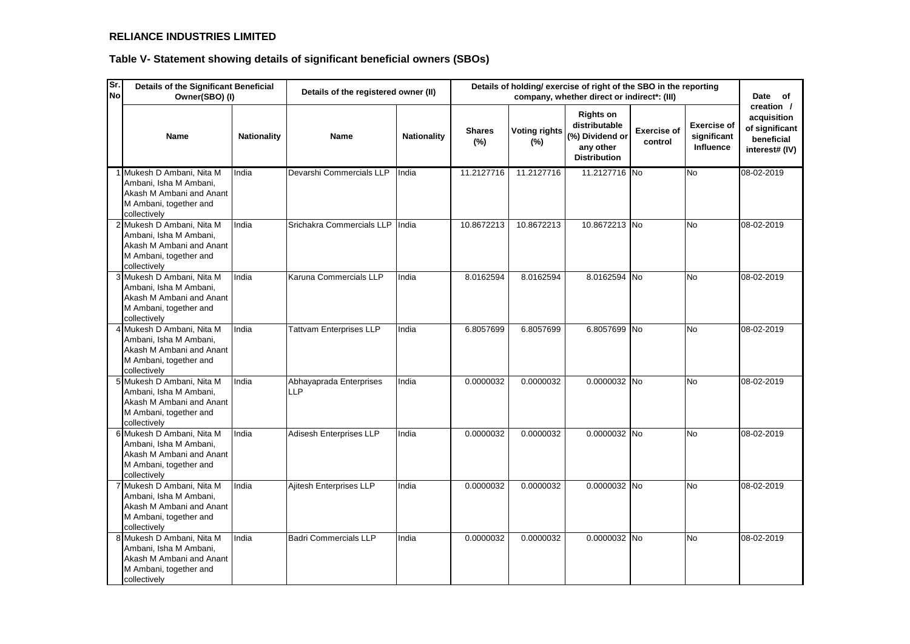## **RELIANCE INDUSTRIES LIMITED**

| Sr.<br><b>No</b> |                                                                                                                           | Details of the Significant Beneficial<br>Details of holding/exercise of right of the SBO in the reporting<br>Details of the registered owner (II)<br>Owner(SBO) (I)<br>company, whether direct or indirect*: (III)<br><b>Rights on</b> |                                |                    |                      |                             |                                                                      |                               | Date of                                        |                                                                             |
|------------------|---------------------------------------------------------------------------------------------------------------------------|----------------------------------------------------------------------------------------------------------------------------------------------------------------------------------------------------------------------------------------|--------------------------------|--------------------|----------------------|-----------------------------|----------------------------------------------------------------------|-------------------------------|------------------------------------------------|-----------------------------------------------------------------------------|
|                  | <b>Name</b>                                                                                                               | <b>Nationality</b>                                                                                                                                                                                                                     | <b>Name</b>                    | <b>Nationality</b> | <b>Shares</b><br>(%) | <b>Voting rights</b><br>(%) | distributable<br>(%) Dividend or<br>any other<br><b>Distribution</b> | <b>Exercise of</b><br>control | <b>Exercise of</b><br>significant<br>Influence | creation /<br>acquisition<br>of significant<br>beneficial<br>interest# (IV) |
|                  | 1 Mukesh D Ambani, Nita M<br>Ambani, Isha M Ambani,<br>Akash M Ambani and Anant<br>M Ambani, together and<br>collectively | India                                                                                                                                                                                                                                  | Devarshi Commercials LLP       | India              | 11.2127716           | 11.2127716                  | 11.2127716 No                                                        |                               | <b>No</b>                                      | 08-02-2019                                                                  |
|                  | 2 Mukesh D Ambani, Nita M<br>Ambani, Isha M Ambani,<br>Akash M Ambani and Anant<br>M Ambani, together and<br>collectively | India                                                                                                                                                                                                                                  | Srichakra Commercials LLP      | India              | 10.8672213           | 10.8672213                  | 10.8672213 No                                                        |                               | <b>No</b>                                      | 08-02-2019                                                                  |
|                  | 3 Mukesh D Ambani, Nita M<br>Ambani, Isha M Ambani,<br>Akash M Ambani and Anant<br>M Ambani, together and<br>collectively | India                                                                                                                                                                                                                                  | Karuna Commercials LLP         | India              | 8.0162594            | 8.0162594                   | 8.0162594 No                                                         |                               | No                                             | 08-02-2019                                                                  |
|                  | 4 Mukesh D Ambani, Nita M<br>Ambani, Isha M Ambani,<br>Akash M Ambani and Anant<br>M Ambani, together and<br>collectively | India                                                                                                                                                                                                                                  | <b>Tattvam Enterprises LLP</b> | India              | 6.8057699            | 6.8057699                   | 6.8057699 No                                                         |                               | No                                             | 08-02-2019                                                                  |
|                  | 5 Mukesh D Ambani, Nita M<br>Ambani, Isha M Ambani,<br>Akash M Ambani and Anant<br>M Ambani, together and<br>collectively | India                                                                                                                                                                                                                                  | Abhayaprada Enterprises<br>LLP | India              | 0.0000032            | 0.0000032                   | 0.0000032 No                                                         |                               | <b>No</b>                                      | 08-02-2019                                                                  |
|                  | 6 Mukesh D Ambani, Nita M<br>Ambani, Isha M Ambani,<br>Akash M Ambani and Anant<br>M Ambani, together and<br>collectively | India                                                                                                                                                                                                                                  | Adisesh Enterprises LLP        | India              | 0.0000032            | 0.0000032                   | 0.0000032 No                                                         |                               | <b>No</b>                                      | 08-02-2019                                                                  |
|                  | 7 Mukesh D Ambani, Nita M<br>Ambani, Isha M Ambani,<br>Akash M Ambani and Anant<br>M Ambani, together and<br>collectively | India                                                                                                                                                                                                                                  | Ajitesh Enterprises LLP        | India              | 0.0000032            | 0.0000032                   | 0.0000032 No                                                         |                               | No                                             | 08-02-2019                                                                  |
|                  | 8 Mukesh D Ambani, Nita M<br>Ambani, Isha M Ambani,<br>Akash M Ambani and Anant<br>M Ambani, together and<br>collectively | India                                                                                                                                                                                                                                  | <b>Badri Commercials LLP</b>   | India              | 0.0000032            | 0.0000032                   | 0.0000032 No                                                         |                               | No                                             | 08-02-2019                                                                  |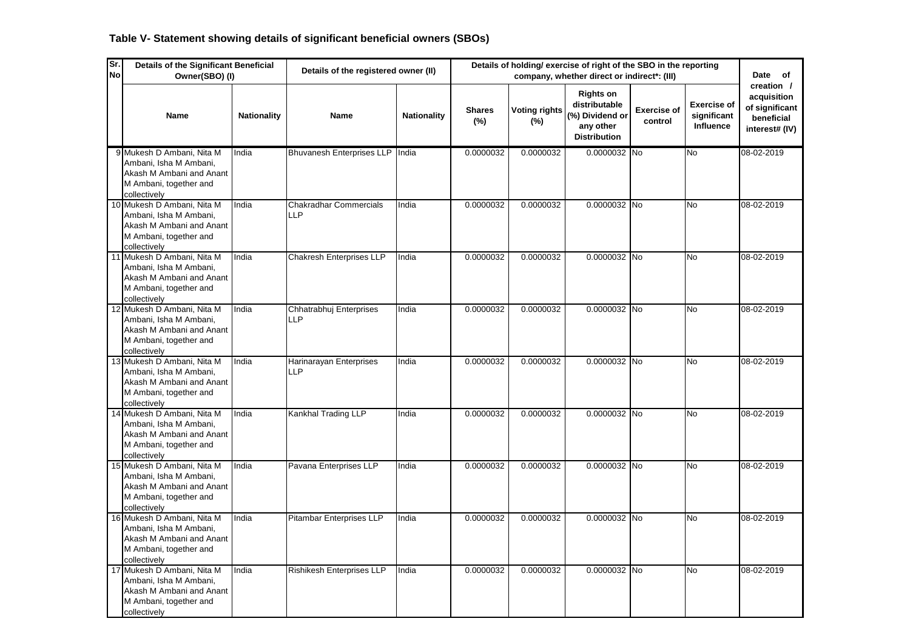| Sr.<br><b>No</b> | <b>Details of the Significant Beneficial</b><br>Owner(SBO) (I)                                                             |                    | Details of the registered owner (II)        | Details of holding/ exercise of right of the SBO in the reporting<br>Date of<br>company, whether direct or indirect*: (III) |                         |                                |                                                                                          |                               |                                                |                                                                             |  |  |
|------------------|----------------------------------------------------------------------------------------------------------------------------|--------------------|---------------------------------------------|-----------------------------------------------------------------------------------------------------------------------------|-------------------------|--------------------------------|------------------------------------------------------------------------------------------|-------------------------------|------------------------------------------------|-----------------------------------------------------------------------------|--|--|
|                  | Name                                                                                                                       | <b>Nationality</b> | <b>Name</b>                                 | <b>Nationality</b>                                                                                                          | <b>Shares</b><br>$(\%)$ | <b>Voting rights</b><br>$(\%)$ | <b>Rights on</b><br>distributable<br>(%) Dividend or<br>any other<br><b>Distribution</b> | <b>Exercise of</b><br>control | <b>Exercise of</b><br>significant<br>Influence | creation /<br>acquisition<br>of significant<br>beneficial<br>interest# (IV) |  |  |
|                  | 9 Mukesh D Ambani, Nita M<br>Ambani, Isha M Ambani,<br>Akash M Ambani and Anant<br>M Ambani, together and<br>collectively  | India              | Bhuvanesh Enterprises LLP                   | India                                                                                                                       | 0.0000032               | 0.0000032                      | 0.0000032 No                                                                             |                               | $\overline{N_{0}}$                             | 08-02-2019                                                                  |  |  |
|                  | 10 Mukesh D Ambani, Nita M<br>Ambani, Isha M Ambani,<br>Akash M Ambani and Anant<br>M Ambani, together and<br>collectively | India              | <b>Chakradhar Commercials</b><br><b>LLP</b> | India                                                                                                                       | 0.0000032               | 0.0000032                      | 0.0000032 No                                                                             |                               | <b>No</b>                                      | 08-02-2019                                                                  |  |  |
|                  | 11 Mukesh D Ambani, Nita M<br>Ambani, Isha M Ambani,<br>Akash M Ambani and Anant<br>M Ambani, together and<br>collectively | India              | <b>Chakresh Enterprises LLP</b>             | India                                                                                                                       | 0.0000032               | 0.0000032                      | 0.0000032 No                                                                             |                               | <b>No</b>                                      | 08-02-2019                                                                  |  |  |
|                  | 12 Mukesh D Ambani, Nita M<br>Ambani, Isha M Ambani,<br>Akash M Ambani and Anant<br>M Ambani, together and<br>collectively | India              | Chhatrabhuj Enterprises<br><b>LLP</b>       | India                                                                                                                       | 0.0000032               | 0.0000032                      | 0.0000032 No                                                                             |                               | <b>No</b>                                      | 08-02-2019                                                                  |  |  |
|                  | 13 Mukesh D Ambani, Nita M<br>Ambani, Isha M Ambani,<br>Akash M Ambani and Anant<br>M Ambani, together and<br>collectively | India              | Harinarayan Enterprises<br><b>LLP</b>       | India                                                                                                                       | 0.0000032               | 0.0000032                      | 0.0000032 No                                                                             |                               | <b>No</b>                                      | 08-02-2019                                                                  |  |  |
|                  | 14 Mukesh D Ambani, Nita M<br>Ambani, Isha M Ambani,<br>Akash M Ambani and Anant<br>M Ambani, together and<br>collectively | India              | Kankhal Trading LLP                         | India                                                                                                                       | 0.0000032               | 0.0000032                      | 0.0000032 No                                                                             |                               | <b>No</b>                                      | 08-02-2019                                                                  |  |  |
|                  | 15 Mukesh D Ambani, Nita M<br>Ambani, Isha M Ambani,<br>Akash M Ambani and Anant<br>M Ambani, together and<br>collectively | India              | Pavana Enterprises LLP                      | India                                                                                                                       | 0.0000032               | 0.0000032                      | 0.0000032 No                                                                             |                               | <b>No</b>                                      | 08-02-2019                                                                  |  |  |
|                  | 16 Mukesh D Ambani, Nita M<br>Ambani, Isha M Ambani,<br>Akash M Ambani and Anant<br>M Ambani, together and<br>collectively | India              | Pitambar Enterprises LLP                    | India                                                                                                                       | 0.0000032               | 0.0000032                      | 0.0000032 No                                                                             |                               | No                                             | 08-02-2019                                                                  |  |  |
|                  | 17 Mukesh D Ambani, Nita M<br>Ambani, Isha M Ambani,<br>Akash M Ambani and Anant<br>M Ambani, together and<br>collectively | India              | Rishikesh Enterprises LLP                   | India                                                                                                                       | 0.0000032               | 0.0000032                      | 0.0000032 No                                                                             |                               | <b>No</b>                                      | 08-02-2019                                                                  |  |  |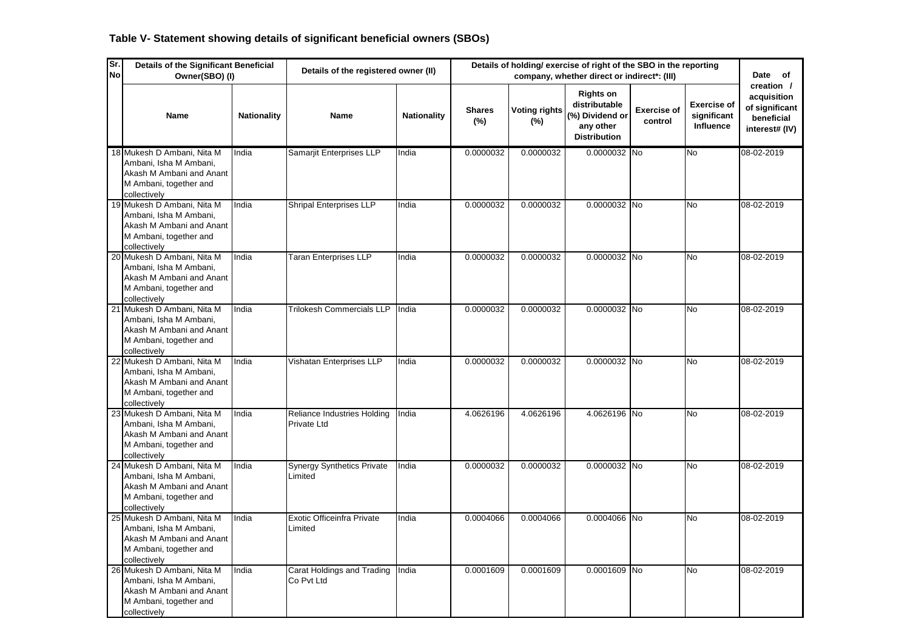| Sr.<br><b>No</b> | <b>Details of the Significant Beneficial</b><br>Owner(SBO) (I)                                                             |                    | Details of the registered owner (II)         | Details of holding/ exercise of right of the SBO in the reporting<br>Date of<br>company, whether direct or indirect*: (III) |                         |                                |                                                                                          |                               |                                                |                                                                             |  |
|------------------|----------------------------------------------------------------------------------------------------------------------------|--------------------|----------------------------------------------|-----------------------------------------------------------------------------------------------------------------------------|-------------------------|--------------------------------|------------------------------------------------------------------------------------------|-------------------------------|------------------------------------------------|-----------------------------------------------------------------------------|--|
|                  | <b>Name</b>                                                                                                                | <b>Nationality</b> | Name                                         | <b>Nationality</b>                                                                                                          | <b>Shares</b><br>$(\%)$ | <b>Voting rights</b><br>$(\%)$ | <b>Rights on</b><br>distributable<br>(%) Dividend or<br>any other<br><b>Distribution</b> | <b>Exercise of</b><br>control | <b>Exercise of</b><br>significant<br>Influence | creation /<br>acquisition<br>of significant<br>beneficial<br>interest# (IV) |  |
|                  | 18 Mukesh D Ambani, Nita M<br>Ambani, Isha M Ambani,<br>Akash M Ambani and Anant<br>M Ambani, together and<br>collectively | India              | Samarjit Enterprises LLP                     | India                                                                                                                       | 0.0000032               | 0.0000032                      | 0.0000032 No                                                                             |                               | <b>No</b>                                      | 08-02-2019                                                                  |  |
|                  | 19 Mukesh D Ambani, Nita M<br>Ambani, Isha M Ambani,<br>Akash M Ambani and Anant<br>M Ambani, together and<br>collectively | India              | <b>Shripal Enterprises LLP</b>               | India                                                                                                                       | 0.0000032               | 0.0000032                      | 0.0000032 No                                                                             |                               | <b>No</b>                                      | 08-02-2019                                                                  |  |
|                  | 20 Mukesh D Ambani, Nita M<br>Ambani, Isha M Ambani,<br>Akash M Ambani and Anant<br>M Ambani, together and<br>collectively | India              | <b>Taran Enterprises LLP</b>                 | India                                                                                                                       | 0.0000032               | 0.0000032                      | 0.0000032 No                                                                             |                               | No                                             | 08-02-2019                                                                  |  |
|                  | 21 Mukesh D Ambani, Nita M<br>Ambani, Isha M Ambani,<br>Akash M Ambani and Anant<br>M Ambani, together and<br>collectively | India              | <b>Trilokesh Commercials LLP</b>             | India                                                                                                                       | 0.0000032               | 0.0000032                      | 0.0000032 No                                                                             |                               | <b>No</b>                                      | 08-02-2019                                                                  |  |
|                  | 22 Mukesh D Ambani, Nita M<br>Ambani, Isha M Ambani,<br>Akash M Ambani and Anant<br>M Ambani, together and<br>collectively | India              | Vishatan Enterprises LLP                     | India                                                                                                                       | 0.0000032               | 0.0000032                      | 0.0000032 No                                                                             |                               | <b>No</b>                                      | 08-02-2019                                                                  |  |
|                  | 23 Mukesh D Ambani, Nita M<br>Ambani, Isha M Ambani,<br>Akash M Ambani and Anant<br>M Ambani, together and<br>collectively | India              | Reliance Industries Holding<br>Private Ltd   | India                                                                                                                       | 4.0626196               | 4.0626196                      | 4.0626196 No                                                                             |                               | <b>No</b>                                      | 08-02-2019                                                                  |  |
|                  | 24 Mukesh D Ambani, Nita M<br>Ambani, Isha M Ambani,<br>Akash M Ambani and Anant<br>M Ambani, together and<br>collectively | India              | <b>Synergy Synthetics Private</b><br>Limited | India                                                                                                                       | 0.0000032               | 0.0000032                      | 0.0000032 No                                                                             |                               | <b>No</b>                                      | 08-02-2019                                                                  |  |
|                  | 25 Mukesh D Ambani, Nita M<br>Ambani, Isha M Ambani,<br>Akash M Ambani and Anant<br>M Ambani, together and<br>collectively | India              | Exotic Officeinfra Private<br>Limited        | India                                                                                                                       | 0.0004066               | 0.0004066                      | 0.0004066 No                                                                             |                               | No                                             | 08-02-2019                                                                  |  |
|                  | 26 Mukesh D Ambani, Nita M<br>Ambani, Isha M Ambani,<br>Akash M Ambani and Anant<br>M Ambani, together and<br>collectively | India              | Carat Holdings and Trading<br>Co Pvt Ltd     | India                                                                                                                       | 0.0001609               | 0.0001609                      | 0.0001609 No                                                                             |                               | No                                             | 08-02-2019                                                                  |  |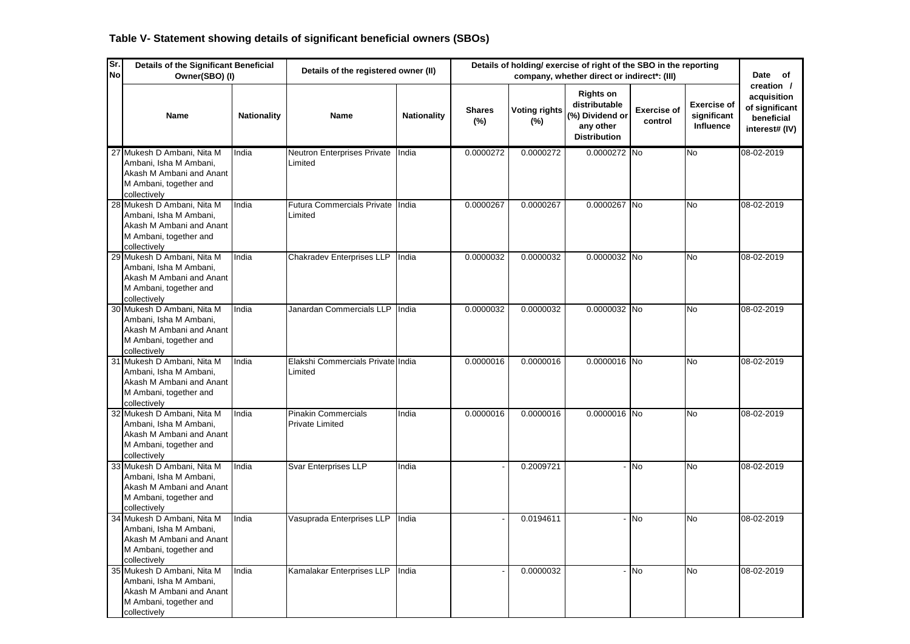| Sr.<br><b>No</b> | <b>Details of the Significant Beneficial</b><br>Owner(SBO) (I)                                                             |                    | Details of the registered owner (II)                 |                    | Details of holding/ exercise of right of the SBO in the reporting<br>Date of<br>company, whether direct or indirect*: (III)<br><b>Rights on</b> |                                |                                                                      |                               |                                                |                                                                             |  |
|------------------|----------------------------------------------------------------------------------------------------------------------------|--------------------|------------------------------------------------------|--------------------|-------------------------------------------------------------------------------------------------------------------------------------------------|--------------------------------|----------------------------------------------------------------------|-------------------------------|------------------------------------------------|-----------------------------------------------------------------------------|--|
|                  | Name                                                                                                                       | <b>Nationality</b> | Name                                                 | <b>Nationality</b> | <b>Shares</b><br>$(\%)$                                                                                                                         | <b>Voting rights</b><br>$(\%)$ | distributable<br>(%) Dividend or<br>any other<br><b>Distribution</b> | <b>Exercise of</b><br>control | <b>Exercise of</b><br>significant<br>Influence | creation /<br>acquisition<br>of significant<br>beneficial<br>interest# (IV) |  |
|                  | 27 Mukesh D Ambani, Nita M<br>Ambani, Isha M Ambani,<br>Akash M Ambani and Anant<br>M Ambani, together and<br>collectively | India              | Neutron Enterprises Private<br>Limited               | India              | 0.0000272                                                                                                                                       | 0.0000272                      | 0.0000272 No                                                         |                               | $\overline{N_{0}}$                             | 08-02-2019                                                                  |  |
|                  | 28 Mukesh D Ambani, Nita M<br>Ambani, Isha M Ambani,<br>Akash M Ambani and Anant<br>M Ambani, together and<br>collectively | India              | Futura Commercials Private India<br>Limited          |                    | 0.0000267                                                                                                                                       | 0.0000267                      | 0.0000267 No                                                         |                               | <b>No</b>                                      | 08-02-2019                                                                  |  |
|                  | 29 Mukesh D Ambani, Nita M<br>Ambani, Isha M Ambani,<br>Akash M Ambani and Anant<br>M Ambani, together and<br>collectively | India              | <b>Chakradev Enterprises LLP</b>                     | India              | 0.0000032                                                                                                                                       | 0.0000032                      | 0.0000032 No                                                         |                               | <b>No</b>                                      | 08-02-2019                                                                  |  |
|                  | 30 Mukesh D Ambani, Nita M<br>Ambani, Isha M Ambani,<br>Akash M Ambani and Anant<br>M Ambani, together and<br>collectively | India              | Janardan Commercials LLP                             | India              | 0.0000032                                                                                                                                       | 0.0000032                      | 0.0000032 No                                                         |                               | <b>No</b>                                      | 08-02-2019                                                                  |  |
|                  | 31 Mukesh D Ambani, Nita M<br>Ambani, Isha M Ambani,<br>Akash M Ambani and Anant<br>M Ambani, together and<br>collectively | India              | Elakshi Commercials Private India<br>Limited         |                    | 0.0000016                                                                                                                                       | 0.0000016                      | 0.0000016 No                                                         |                               | <b>No</b>                                      | 08-02-2019                                                                  |  |
|                  | 32 Mukesh D Ambani, Nita M<br>Ambani, Isha M Ambani,<br>Akash M Ambani and Anant<br>M Ambani, together and<br>collectively | India              | <b>Pinakin Commercials</b><br><b>Private Limited</b> | India              | 0.0000016                                                                                                                                       | 0.0000016                      | 0.0000016 No                                                         |                               | No                                             | 08-02-2019                                                                  |  |
|                  | 33 Mukesh D Ambani, Nita M<br>Ambani, Isha M Ambani,<br>Akash M Ambani and Anant<br>M Ambani, together and<br>collectively | India              | Svar Enterprises LLP                                 | India              |                                                                                                                                                 | 0.2009721                      |                                                                      | - No                          | <b>No</b>                                      | 08-02-2019                                                                  |  |
|                  | 34 Mukesh D Ambani, Nita M<br>Ambani, Isha M Ambani,<br>Akash M Ambani and Anant<br>M Ambani, together and<br>collectively | India              | Vasuprada Enterprises LLP                            | India              |                                                                                                                                                 | 0.0194611                      |                                                                      | No                            | No                                             | 08-02-2019                                                                  |  |
|                  | 35 Mukesh D Ambani, Nita M<br>Ambani, Isha M Ambani,<br>Akash M Ambani and Anant<br>M Ambani, together and<br>collectively | India              | Kamalakar Enterprises LLP                            | India              |                                                                                                                                                 | 0.0000032                      |                                                                      | <b>No</b>                     | <b>No</b>                                      | 08-02-2019                                                                  |  |